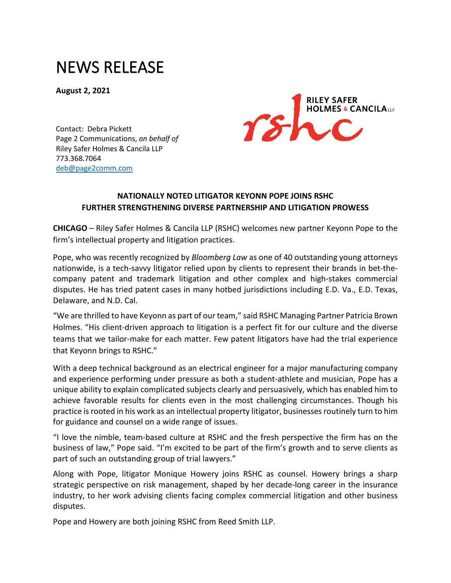## NEWS RELEASE

**August 2, 2021**



Contact: Debra Pickett Page 2 Communications, *on behalf of* Riley Safer Holmes & Cancila LLP 773.368.7064 [deb@page2comm.com](mailto:deb@page2comm.com?subject=RSHC%2520Press%2520Release)

## **NATIONALLY NOTED LITIGATOR [KEYONN POPE](https://www.rshc-law.com/attorneys/attorney/keyonn-l.-pope) JOINS RSHC FURTHER STRENGTHENING DIVERSE PARTNERSHIP AND LITIGATION PROWESS**

**CHICAGO** – Riley Safer Holmes & Cancila LLP (RSHC) welcomes new partner [Keyonn Pope](https://www.rshc-law.com/attorneys/attorney/keyonn-l.-pope) to the firm's intellectual property and litigation practices.

Pope, who was recently recognized by *Bloomberg Law* as one of 40 outstanding young attorneys nationwide, is a tech-savvy litigator relied upon by clients to represent their brands in bet-thecompany patent and trademark litigation and other complex and high-stakes commercial disputes. He has tried patent cases in many hotbed jurisdictions including E.D. Va., E.D. Texas, Delaware, and N.D. Cal.

"We are thrilled to have Keyonn as part of our team," said RSHC Managing Partner Patricia Brown Holmes. "His client-driven approach to litigation is a perfect fit for our culture and the diverse teams that we tailor-make for each matter. Few patent litigators have had the trial experience that Keyonn brings to RSHC."

With a deep technical background as an electrical engineer for a major manufacturing company and experience performing under pressure as both a student-athlete and musician, Pope has a unique ability to explain complicated subjects clearly and persuasively, which has enabled him to achieve favorable results for clients even in the most challenging circumstances. Though his practice is rooted in his work as an intellectual property litigator, businesses routinely turn to him for guidance and counsel on a wide range of issues.

"I love the nimble, team-based culture at RSHC and the fresh perspective the firm has on the business of law," Pope said. "I'm excited to be part of the firm's growth and to serve clients as part of such an outstanding group of trial lawyers."

Along with Pope, litigator [Monique Howery](https://www.rshc-law.com/attorneys/attorney/monique-b.-howery) joins RSHC as counsel. Howery brings a sharp strategic perspective on risk management, shaped by her decade-long career in the insurance industry, to her work advising clients facing complex commercial litigation and other business disputes.

Pope and Howery are both joining RSHC from Reed Smith LLP.